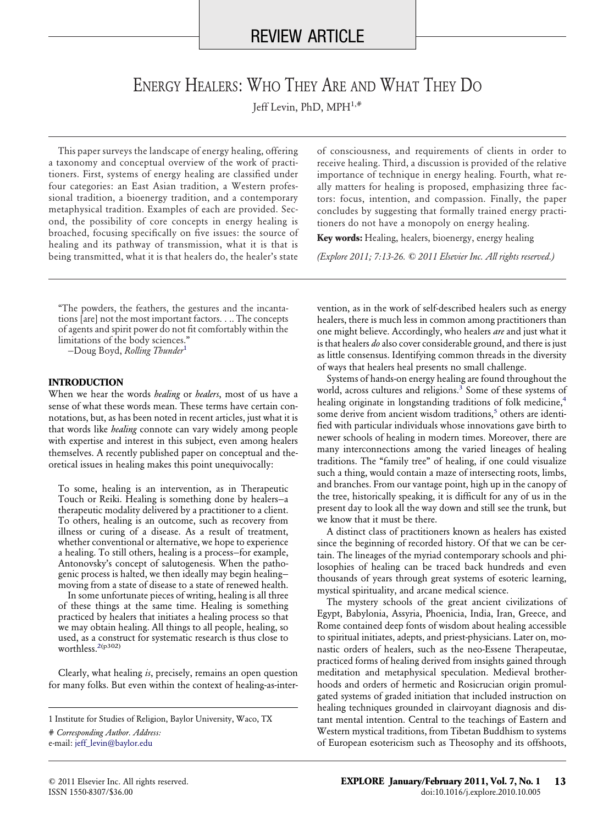# ENERGY HEALERS: WHO THEY ARE AND WHAT THEY DO

Jeff Levin, PhD,  $MPH^{1,\#}$ 

This paper surveys the landscape of energy healing, offering a taxonomy and conceptual overview of the work of practitioners. First, systems of energy healing are classified under four categories: an East Asian tradition, a Western professional tradition, a bioenergy tradition, and a contemporary metaphysical tradition. Examples of each are provided. Second, the possibility of core concepts in energy healing is broached, focusing specifically on five issues: the source of healing and its pathway of transmission, what it is that is being transmitted, what it is that healers do, the healer's state

"The powders, the feathers, the gestures and the incantations [are] not the most important factors. . .. The concepts of agents and spirit power do not fit comfortably within the limitations of the body sciences."

—Doug Boyd, *Rolling Thunder*[1](#page-11-0)

## **INTRODUCTION**

When we hear the words *healing* or *healers*, most of us have a sense of what these words mean. These terms have certain connotations, but, as has been noted in recent articles, just what it is that words like *healing* connote can vary widely among people with expertise and interest in this subject, even among healers themselves. A recently published paper on conceptual and theoretical issues in healing makes this point unequivocally:

To some, healing is an intervention, as in Therapeutic Touch or Reiki. Healing is something done by healers—a therapeutic modality delivered by a practitioner to a client. To others, healing is an outcome, such as recovery from illness or curing of a disease. As a result of treatment, whether conventional or alternative, we hope to experience a healing. To still others, healing is a process—for example, Antonovsky's concept of salutogenesis. When the pathogenic process is halted, we then ideally may begin healing moving from a state of disease to a state of renewed health.

In some unfortunate pieces of writing, healing is all three of these things at the same time. Healing is something practiced by healers that initiates a healing process so that we may obtain healing. All things to all people, healing, so used, as a construct for systematic research is thus close to worthless[.2\(](#page-11-0)p302)

Clearly, what healing *is*, precisely, remains an open question for many folks. But even within the context of healing-as-inter-

# *Corresponding Author. Address:*

e-mail: [jeff\\_levin@baylor.edu](mailto:jeff_levin@baylor.edu)

of consciousness, and requirements of clients in order to receive healing. Third, a discussion is provided of the relative importance of technique in energy healing. Fourth, what really matters for healing is proposed, emphasizing three factors: focus, intention, and compassion. Finally, the paper concludes by suggesting that formally trained energy practitioners do not have a monopoly on energy healing.

**Key words:** Healing, healers, bioenergy, energy healing

*(Explore 2011; 7:13-26. © 2011 Elsevier Inc. All rights reserved.)*

vention, as in the work of self-described healers such as energy healers, there is much less in common among practitioners than one might believe. Accordingly, who healers *are* and just what it is that healers *do* also cover considerable ground, and there is just as little consensus. Identifying common threads in the diversity of ways that healers heal presents no small challenge.

Systems of hands-on energy healing are found throughout the world, across cultures and religions.<sup>[3](#page-11-0)</sup> Some of these systems of healing originate in longstanding traditions of folk medicine,<sup>4</sup> some derive from ancient wisdom traditions,<sup>5</sup> others are identified with particular individuals whose innovations gave birth to newer schools of healing in modern times. Moreover, there are many interconnections among the varied lineages of healing traditions. The "family tree" of healing, if one could visualize such a thing, would contain a maze of intersecting roots, limbs, and branches. From our vantage point, high up in the canopy of the tree, historically speaking, it is difficult for any of us in the present day to look all the way down and still see the trunk, but we know that it must be there.

A distinct class of practitioners known as healers has existed since the beginning of recorded history. Of that we can be certain. The lineages of the myriad contemporary schools and philosophies of healing can be traced back hundreds and even thousands of years through great systems of esoteric learning, mystical spirituality, and arcane medical science.

The mystery schools of the great ancient civilizations of Egypt, Babylonia, Assyria, Phoenicia, India, Iran, Greece, and Rome contained deep fonts of wisdom about healing accessible to spiritual initiates, adepts, and priest-physicians. Later on, monastic orders of healers, such as the neo-Essene Therapeutae, practiced forms of healing derived from insights gained through meditation and metaphysical speculation. Medieval brotherhoods and orders of hermetic and Rosicrucian origin promulgated systems of graded initiation that included instruction on healing techniques grounded in clairvoyant diagnosis and distant mental intention. Central to the teachings of Eastern and Western mystical traditions, from Tibetan Buddhism to systems of European esotericism such as Theosophy and its offshoots,

<sup>1</sup> Institute for Studies of Religion, Baylor University, Waco, TX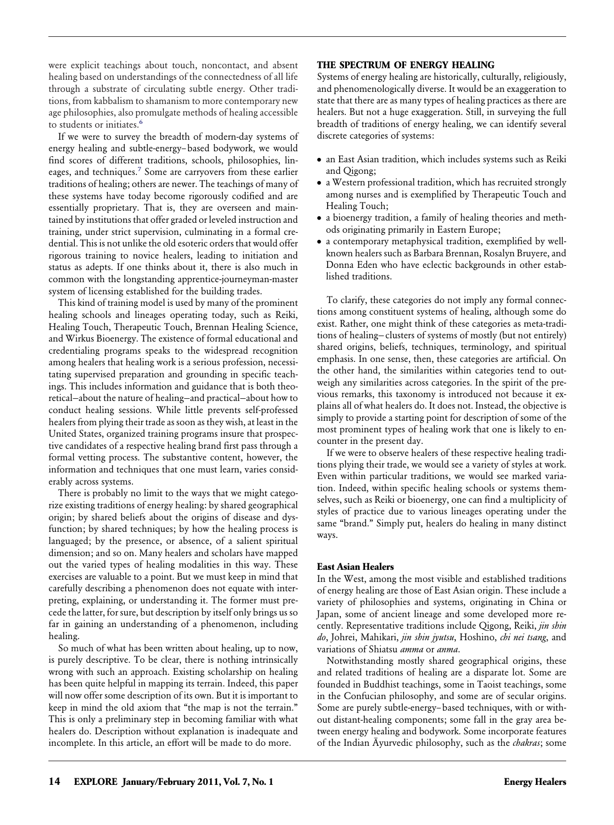were explicit teachings about touch, noncontact, and absent healing based on understandings of the connectedness of all life through a substrate of circulating subtle energy. Other traditions, from kabbalism to shamanism to more contemporary new age philosophies, also promulgate methods of healing accessible to students or initiates.<sup>6</sup>

If we were to survey the breadth of modern-day systems of energy healing and subtle-energy– based bodywork, we would find scores of different traditions, schools, philosophies, lineages, and techniques.<sup>7</sup> Some are carryovers from these earlier traditions of healing; others are newer. The teachings of many of these systems have today become rigorously codified and are essentially proprietary. That is, they are overseen and maintained by institutions that offer graded or leveled instruction and training, under strict supervision, culminating in a formal credential. This is not unlike the old esoteric orders that would offer rigorous training to novice healers, leading to initiation and status as adepts. If one thinks about it, there is also much in common with the longstanding apprentice-journeyman-master system of licensing established for the building trades.

This kind of training model is used by many of the prominent healing schools and lineages operating today, such as Reiki, Healing Touch, Therapeutic Touch, Brennan Healing Science, and Wirkus Bioenergy. The existence of formal educational and credentialing programs speaks to the widespread recognition among healers that healing work is a serious profession, necessitating supervised preparation and grounding in specific teachings. This includes information and guidance that is both theoretical—about the nature of healing—and practical—about how to conduct healing sessions. While little prevents self-professed healers from plying their trade as soon as they wish, at least in the United States, organized training programs insure that prospective candidates of a respective healing brand first pass through a formal vetting process. The substantive content, however, the information and techniques that one must learn, varies considerably across systems.

There is probably no limit to the ways that we might categorize existing traditions of energy healing: by shared geographical origin; by shared beliefs about the origins of disease and dysfunction; by shared techniques; by how the healing process is languaged; by the presence, or absence, of a salient spiritual dimension; and so on. Many healers and scholars have mapped out the varied types of healing modalities in this way. These exercises are valuable to a point. But we must keep in mind that carefully describing a phenomenon does not equate with interpreting, explaining, or understanding it. The former must precede the latter, for sure, but description by itself only brings us so far in gaining an understanding of a phenomenon, including healing.

So much of what has been written about healing, up to now, is purely descriptive. To be clear, there is nothing intrinsically wrong with such an approach. Existing scholarship on healing has been quite helpful in mapping its terrain. Indeed, this paper will now offer some description of its own. But it is important to keep in mind the old axiom that "the map is not the terrain." This is only a preliminary step in becoming familiar with what healers do. Description without explanation is inadequate and incomplete. In this article, an effort will be made to do more.

### **THE SPECTRUM OF ENERGY HEALING**

Systems of energy healing are historically, culturally, religiously, and phenomenologically diverse. It would be an exaggeration to state that there are as many types of healing practices as there are healers. But not a huge exaggeration. Still, in surveying the full breadth of traditions of energy healing, we can identify several discrete categories of systems:

- an East Asian tradition, which includes systems such as Reiki and Qigong;
- a Western professional tradition, which has recruited strongly among nurses and is exemplified by Therapeutic Touch and Healing Touch;
- a bioenergy tradition, a family of healing theories and methods originating primarily in Eastern Europe;
- a contemporary metaphysical tradition, exemplified by wellknown healers such as Barbara Brennan, Rosalyn Bruyere, and Donna Eden who have eclectic backgrounds in other established traditions.

To clarify, these categories do not imply any formal connections among constituent systems of healing, although some do exist. Rather, one might think of these categories as meta-traditions of healing— clusters of systems of mostly (but not entirely) shared origins, beliefs, techniques, terminology, and spiritual emphasis. In one sense, then, these categories are artificial. On the other hand, the similarities within categories tend to outweigh any similarities across categories. In the spirit of the previous remarks, this taxonomy is introduced not because it explains all of what healers do. It does not. Instead, the objective is simply to provide a starting point for description of some of the most prominent types of healing work that one is likely to encounter in the present day.

If we were to observe healers of these respective healing traditions plying their trade, we would see a variety of styles at work. Even within particular traditions, we would see marked variation. Indeed, within specific healing schools or systems themselves, such as Reiki or bioenergy, one can find a multiplicity of styles of practice due to various lineages operating under the same "brand." Simply put, healers do healing in many distinct ways.

#### **East Asian Healers**

In the West, among the most visible and established traditions of energy healing are those of East Asian origin. These include a variety of philosophies and systems, originating in China or Japan, some of ancient lineage and some developed more recently. Representative traditions include Qigong, Reiki, *jin shin do*, Johrei, Mahikari, *jin shin jyutsu*, Hoshino, *chi nei tsang*, and variations of Shiatsu *amma* or *anma*.

Notwithstanding mostly shared geographical origins, these and related traditions of healing are a disparate lot. Some are founded in Buddhist teachings, some in Taoist teachings, some in the Confucian philosophy, and some are of secular origins. Some are purely subtle-energy– based techniques, with or without distant-healing components; some fall in the gray area between energy healing and bodywork. Some incorporate features of the Indian Ayurvedic philosophy, such as the *chakras*; some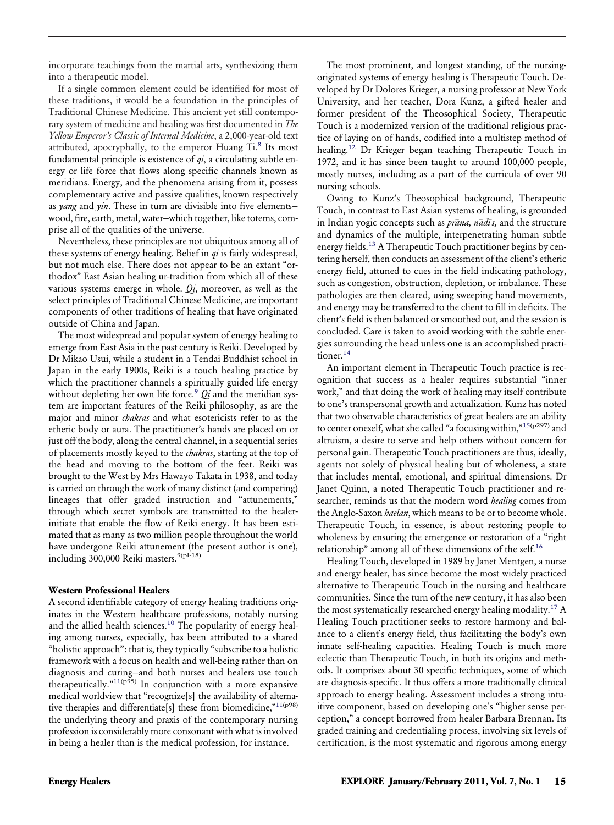incorporate teachings from the martial arts, synthesizing them into a therapeutic model.

If a single common element could be identified for most of these traditions, it would be a foundation in the principles of Traditional Chinese Medicine. This ancient yet still contemporary system of medicine and healing was first documented in *The Yellow Emperor's Classic of Internal Medicine*, a 2,000-year-old text attributed, apocryphally, to the emperor Huang  $Ti.<sup>8</sup>$  Its most fundamental principle is existence of *qi*, a circulating subtle energy or life force that flows along specific channels known as meridians. Energy, and the phenomena arising from it, possess complementary active and passive qualities, known respectively as *yang* and *yin*. These in turn are divisible into five elements wood, fire, earth, metal, water—which together, like totems, comprise all of the qualities of the universe.

Nevertheless, these principles are not ubiquitous among all of these systems of energy healing. Belief in *qi* is fairly widespread, but not much else. There does not appear to be an extant "orthodox" East Asian healing ur-tradition from which all of these various systems emerge in whole. *Qi*, moreover, as well as the select principles of Traditional Chinese Medicine, are important components of other traditions of healing that have originated outside of China and Japan.

The most widespread and popular system of energy healing to emerge from East Asia in the past century is Reiki. Developed by Dr Mikao Usui, while a student in a Tendai Buddhist school in Japan in the early 1900s, Reiki is a touch healing practice by which the practitioner channels a spiritually guided life energy without depleting her own life force.<sup>[9](#page-12-0)</sup>  $Q_i$  and the meridian system are important features of the Reiki philosophy, as are the major and minor *chakras* and what esotericists refer to as the etheric body or aura. The practitioner's hands are placed on or just off the body, along the central channel, in a sequential series of placements mostly keyed to the *chakras*, starting at the top of the head and moving to the bottom of the feet. Reiki was brought to the West by Mrs Hawayo Takata in 1938, and today is carried on through the work of many distinct (and competing) lineages that offer graded instruction and "attunements," through which secret symbols are transmitted to the healerinitiate that enable the flow of Reiki energy. It has been estimated that as many as two million people throughout the world have undergone Reiki attunement (the present author is one), including 300,000 Reiki masters.<sup>9(pI-18)</sup>

### **Western Professional Healers**

A second identifiable category of energy healing traditions originates in the Western healthcare professions, notably nursing and the allied health sciences.<sup>10</sup> The popularity of energy healing among nurses, especially, has been attributed to a shared "holistic approach": that is, they typically "subscribe to a holistic framework with a focus on health and well-being rather than on diagnosis and curing—and both nurses and healers use touch therapeutically." $11(p95)$  In conjunction with a more expansive medical worldview that "recognize[s] the availability of alterna-tive therapies and differentiate[s] these from biomedicine,["11\(](#page-12-0)p98) the underlying theory and praxis of the contemporary nursing profession is considerably more consonant with what is involved in being a healer than is the medical profession, for instance.

The most prominent, and longest standing, of the nursingoriginated systems of energy healing is Therapeutic Touch. Developed by Dr Dolores Krieger, a nursing professor at New York University, and her teacher, Dora Kunz, a gifted healer and former president of the Theosophical Society, Therapeutic Touch is a modernized version of the traditional religious practice of laying on of hands, codified into a multistep method of healing.<sup>12</sup> Dr Krieger began teaching Therapeutic Touch in 1972, and it has since been taught to around 100,000 people, mostly nurses, including as a part of the curricula of over 90 nursing schools.

Owing to Kunz's Theosophical background, Therapeutic Touch, in contrast to East Asian systems of healing, is grounded in Indian yogic concepts such as *prana, nadīs*, and the structure and dynamics of the multiple, interpenetrating human subtle energy fields.<sup>[13](#page-12-0)</sup> A Therapeutic Touch practitioner begins by centering herself, then conducts an assessment of the client's etheric energy field, attuned to cues in the field indicating pathology, such as congestion, obstruction, depletion, or imbalance. These pathologies are then cleared, using sweeping hand movements, and energy may be transferred to the client to fill in deficits. The client's field is then balanced or smoothed out, and the session is concluded. Care is taken to avoid working with the subtle energies surrounding the head unless one is an accomplished practitioner.<sup>14</sup>

An important element in Therapeutic Touch practice is recognition that success as a healer requires substantial "inner work," and that doing the work of healing may itself contribute to one's transpersonal growth and actualization. Kunz has noted that two observable characteristics of great healers are an ability to center oneself, what she called "a focusing within,"<sup>[15\(](#page-12-0)p297)</sup> and altruism, a desire to serve and help others without concern for personal gain. Therapeutic Touch practitioners are thus, ideally, agents not solely of physical healing but of wholeness, a state that includes mental, emotional, and spiritual dimensions. Dr Janet Quinn, a noted Therapeutic Touch practitioner and researcher, reminds us that the modern word *healing* comes from the Anglo-Saxon *haelan*, which means to be or to become whole. Therapeutic Touch, in essence, is about restoring people to wholeness by ensuring the emergence or restoration of a "right relationship" among all of these dimensions of the self.<sup>16</sup>

Healing Touch, developed in 1989 by Janet Mentgen, a nurse and energy healer, has since become the most widely practiced alternative to Therapeutic Touch in the nursing and healthcare communities. Since the turn of the new century, it has also been the most systematically researched energy healing modality.<sup>17</sup> A Healing Touch practitioner seeks to restore harmony and balance to a client's energy field, thus facilitating the body's own innate self-healing capacities. Healing Touch is much more eclectic than Therapeutic Touch, in both its origins and methods. It comprises about 30 specific techniques, some of which are diagnosis-specific. It thus offers a more traditionally clinical approach to energy healing. Assessment includes a strong intuitive component, based on developing one's "higher sense perception," a concept borrowed from healer Barbara Brennan. Its graded training and credentialing process, involving six levels of certification, is the most systematic and rigorous among energy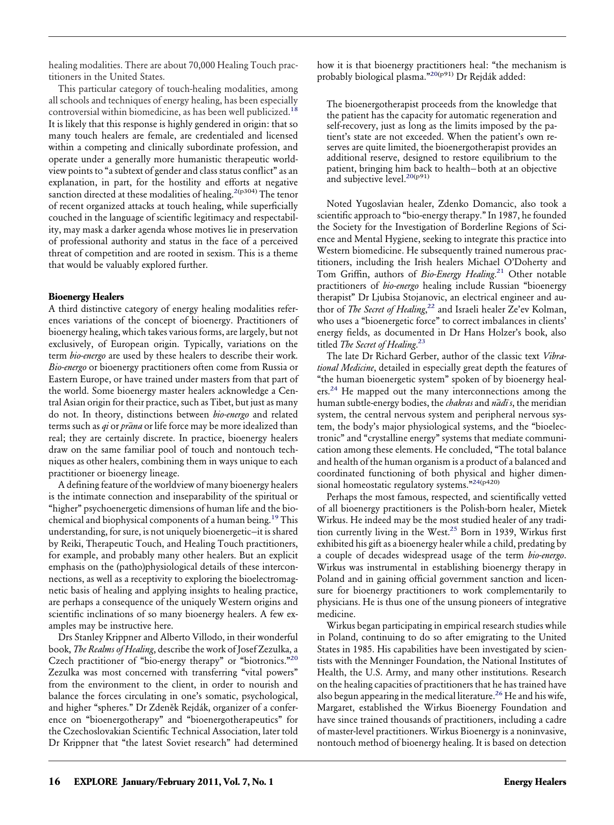healing modalities. There are about 70,000 Healing Touch practitioners in the United States.

This particular category of touch-healing modalities, among all schools and techniques of energy healing, has been especially controversial within biomedicine, as has been well publicized[.18](#page-12-0) It is likely that this response is highly gendered in origin: that so many touch healers are female, are credentialed and licensed within a competing and clinically subordinate profession, and operate under a generally more humanistic therapeutic worldview points to "a subtext of gender and class status conflict" as an explanation, in part, for the hostility and efforts at negative sanction directed at these modalities of healing.<sup>[2\(](#page-11-0)p304)</sup> The tenor of recent organized attacks at touch healing, while superficially couched in the language of scientific legitimacy and respectability, may mask a darker agenda whose motives lie in preservation of professional authority and status in the face of a perceived threat of competition and are rooted in sexism. This is a theme that would be valuably explored further.

### **Bioenergy Healers**

A third distinctive category of energy healing modalities references variations of the concept of bioenergy. Practitioners of bioenergy healing, which takes various forms, are largely, but not exclusively, of European origin. Typically, variations on the term *bio-energo* are used by these healers to describe their work. *Bio-energo* or bioenergy practitioners often come from Russia or Eastern Europe, or have trained under masters from that part of the world. Some bioenergy master healers acknowledge a Central Asian origin for their practice, such as Tibet, but just as many do not. In theory, distinctions between *bio-energo* and related terms such as *qi* or *prāna* or life force may be more idealized than real; they are certainly discrete. In practice, bioenergy healers draw on the same familiar pool of touch and nontouch techniques as other healers, combining them in ways unique to each practitioner or bioenergy lineage.

A defining feature of the worldview of many bioenergy healers is the intimate connection and inseparability of the spiritual or "higher" psychoenergetic dimensions of human life and the bio-chemical and biophysical components of a human being.<sup>[19](#page-12-0)</sup> This understanding, for sure, is not uniquely bioenergetic—it is shared by Reiki, Therapeutic Touch, and Healing Touch practitioners, for example, and probably many other healers. But an explicit emphasis on the (patho)physiological details of these interconnections, as well as a receptivity to exploring the bioelectromagnetic basis of healing and applying insights to healing practice, are perhaps a consequence of the uniquely Western origins and scientific inclinations of so many bioenergy healers. A few examples may be instructive here.

Drs Stanley Krippner and Alberto Villodo, in their wonderful book, *The Realms of Healing*, describe the work of Josef Zezulka, a Czech practitioner of "bio-energy therapy" or "biotronics.["20](#page-12-0) Zezulka was most concerned with transferring "vital powers" from the environment to the client, in order to nourish and balance the forces circulating in one's somatic, psychological, and higher "spheres." Dr Zdeněk Rejdák, organizer of a conference on "bioenergotherapy" and "bioenergotherapeutics" for the Czechoslovakian Scientific Technical Association, later told Dr Krippner that "the latest Soviet research" had determined

how it is that bioenergy practitioners heal: "the mechanism is probably biological plasma.["20\(](#page-12-0)p91) Dr Rejdák added:

The bioenergotherapist proceeds from the knowledge that the patient has the capacity for automatic regeneration and self-recovery, just as long as the limits imposed by the patient's state are not exceeded. When the patient's own reserves are quite limited, the bioenergotherapist provides an additional reserve, designed to restore equilibrium to the patient, bringing him back to health— both at an objective and subjective level.<sup>20(p91)</sup>

Noted Yugoslavian healer, Zdenko Domancic, also took a scientific approach to "bio-energy therapy." In 1987, he founded the Society for the Investigation of Borderline Regions of Science and Mental Hygiene, seeking to integrate this practice into Western biomedicine. He subsequently trained numerous practitioners, including the Irish healers Michael O'Doherty and Tom Griffin, authors of *Bio-Energy Healing*. [21](#page-12-0) Other notable practitioners of *bio-energo* healing include Russian "bioenergy therapist" Dr Ljubisa Stojanovic, an electrical engineer and author of *The Secret of Healing*, [22](#page-12-0) and Israeli healer Ze'ev Kolman, who uses a "bioenergetic force" to correct imbalances in clients' energy fields, as documented in Dr Hans Holzer's book, also titled *The Secret of Healing*. [23](#page-12-0)

The late Dr Richard Gerber, author of the classic text *Vibrational Medicine*, detailed in especially great depth the features of "the human bioenergetic system" spoken of by bioenergy healers.<sup>24</sup> He mapped out the many interconnections among the human subtle-energy bodies, the *chakras* and  $n\bar{a}d\bar{i}s$ , the meridian system, the central nervous system and peripheral nervous system, the body's major physiological systems, and the "bioelectronic" and "crystalline energy" systems that mediate communication among these elements. He concluded, "The total balance and health of the human organism is a product of a balanced and coordinated functioning of both physical and higher dimensional homeostatic regulatory systems."<sup>24(p420)</sup>

Perhaps the most famous, respected, and scientifically vetted of all bioenergy practitioners is the Polish-born healer, Mietek Wirkus. He indeed may be the most studied healer of any tradi-tion currently living in the West.<sup>[25](#page-12-0)</sup> Born in 1939, Wirkus first exhibited his gift as a bioenergy healer while a child, predating by a couple of decades widespread usage of the term *bio-energo*. Wirkus was instrumental in establishing bioenergy therapy in Poland and in gaining official government sanction and licensure for bioenergy practitioners to work complementarily to physicians. He is thus one of the unsung pioneers of integrative medicine.

Wirkus began participating in empirical research studies while in Poland, continuing to do so after emigrating to the United States in 1985. His capabilities have been investigated by scientists with the Menninger Foundation, the National Institutes of Health, the U.S. Army, and many other institutions. Research on the healing capacities of practitioners that he has trained have also begun appearing in the medical literature.<sup>26</sup> He and his wife, Margaret, established the Wirkus Bioenergy Foundation and have since trained thousands of practitioners, including a cadre of master-level practitioners. Wirkus Bioenergy is a noninvasive, nontouch method of bioenergy healing. It is based on detection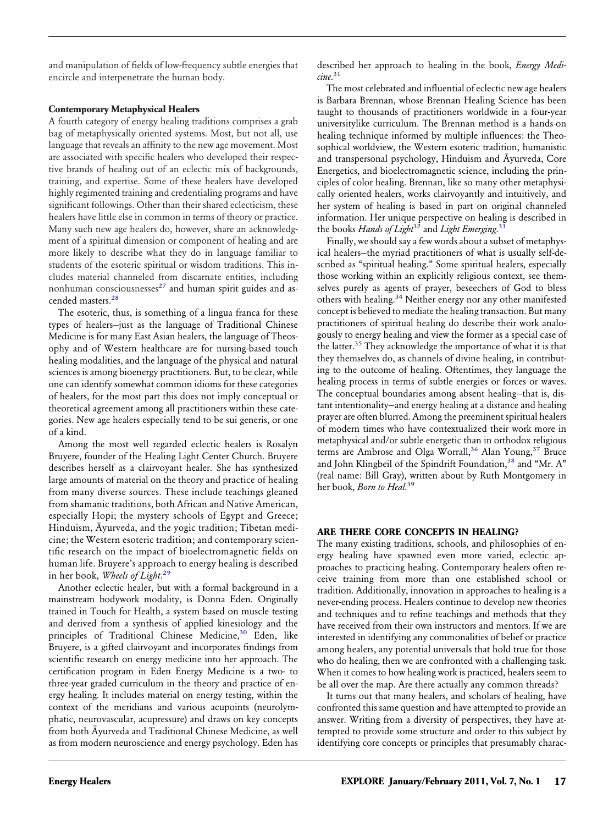and manipulation of fields of low-frequency subtle energies that encircle and interpenetrate the human body.

## **Contemporary Metaphysical Healers**

A fourth category of energy healing traditions comprises a grab bag of metaphysically oriented systems. Most, but not all, use language that reveals an affinity to the new age movement. Most are associated with specific healers who developed their respective brands of healing out of an eclectic mix of backgrounds, training, and expertise. Some of these healers have developed highly regimented training and credentialing programs and have significant followings. Other than their shared eclecticism, these healers have little else in common in terms of theory or practice. Many such new age healers do, however, share an acknowledgment of a spiritual dimension or component of healing and are more likely to describe what they do in language familiar to students of the esoteric spiritual or wisdom traditions. This includes material channeled from discarnate entities, including nonhuman consciousnesses $^{27}$  and human spirit guides and ascended masters[.28](#page-12-0)

The esoteric, thus, is something of a lingua franca for these types of healers—just as the language of Traditional Chinese Medicine is for many East Asian healers, the language of Theosophy and of Western healthcare are for nursing-based touch healing modalities, and the language of the physical and natural sciences is among bioenergy practitioners. But, to be clear, while one can identify somewhat common idioms for these categories of healers, for the most part this does not imply conceptual or theoretical agreement among all practitioners within these categories. New age healers especially tend to be sui generis, or one of a kind.

Among the most well regarded eclectic healers is Rosalyn Bruyere, founder of the Healing Light Center Church. Bruyere describes herself as a clairvoyant healer. She has synthesized large amounts of material on the theory and practice of healing from many diverse sources. These include teachings gleaned from shamanic traditions, both African and Native American, especially Hopi; the mystery schools of Egypt and Greece; Hinduism, Ayurveda, and the yogic tradition; Tibetan medicine; the Western esoteric tradition; and contemporary scientific research on the impact of bioelectromagnetic fields on human life. Bruyere's approach to energy healing is described in her book, *Wheels of Light*. [29](#page-12-0)

Another eclectic healer, but with a formal background in a mainstream bodywork modality, is Donna Eden. Originally trained in Touch for Health, a system based on muscle testing and derived from a synthesis of applied kinesiology and the principles of Traditional Chinese Medicine,<sup>[30](#page-12-0)</sup> Eden, like Bruyere, is a gifted clairvoyant and incorporates findings from scientific research on energy medicine into her approach. The certification program in Eden Energy Medicine is a two- to three-year graded curriculum in the theory and practice of energy healing. It includes material on energy testing, within the context of the meridians and various acupoints (neurolymphatic, neurovascular, acupressure) and draws on key concepts from both Ayurveda and Traditional Chinese Medicine, as well as from modern neuroscience and energy psychology. Eden has

described her approach to healing in the book, *Energy Medicine*. [31](#page-12-0)

The most celebrated and influential of eclectic new age healers is Barbara Brennan, whose Brennan Healing Science has been taught to thousands of practitioners worldwide in a four-year universitylike curriculum. The Brennan method is a hands-on healing technique informed by multiple influences: the Theosophical worldview, the Western esoteric tradition, humanistic and transpersonal psychology, Hinduism and  $\bar{A}$  yurveda, Core Energetics, and bioelectromagnetic science, including the principles of color healing. Brennan, like so many other metaphysically oriented healers, works clairvoyantly and intuitively, and her system of healing is based in part on original channeled information. Her unique perspective on healing is described in the books *Hands of Light*[32](#page-12-0) and *Light Emerging*. [33](#page-12-0)

Finally, we should say a few words about a subset of metaphysical healers—the myriad practitioners of what is usually self-described as "spiritual healing." Some spiritual healers, especially those working within an explicitly religious context, see themselves purely as agents of prayer, beseechers of God to bless others with healing.<sup>34</sup> Neither energy nor any other manifested concept is believed to mediate the healing transaction. But many practitioners of spiritual healing do describe their work analogously to energy healing and view the former as a special case of the latter.[35](#page-12-0) They acknowledge the importance of what it is that they themselves do, as channels of divine healing, in contributing to the outcome of healing. Oftentimes, they language the healing process in terms of subtle energies or forces or waves. The conceptual boundaries among absent healing—that is, distant intentionality—and energy healing at a distance and healing prayer are often blurred. Among the preeminent spiritual healers of modern times who have contextualized their work more in metaphysical and/or subtle energetic than in orthodox religious terms are Ambrose and Olga Worrall,<sup>36</sup> Alan Young,<sup>37</sup> Bruce and John Klingbeil of the Spindrift Foundation,<sup>[38](#page-12-0)</sup> and "Mr. A" (real name: Bill Gray), written about by Ruth Montgomery in her book, *Born to Heal*. [39](#page-12-0)

# **ARE THERE CORE CONCEPTS IN HEALING?**

The many existing traditions, schools, and philosophies of energy healing have spawned even more varied, eclectic approaches to practicing healing. Contemporary healers often receive training from more than one established school or tradition. Additionally, innovation in approaches to healing is a never-ending process. Healers continue to develop new theories and techniques and to refine teachings and methods that they have received from their own instructors and mentors. If we are interested in identifying any commonalities of belief or practice among healers, any potential universals that hold true for those who do healing, then we are confronted with a challenging task. When it comes to how healing work is practiced, healers seem to be all over the map. Are there actually any common threads?

It turns out that many healers, and scholars of healing, have confronted this same question and have attempted to provide an answer. Writing from a diversity of perspectives, they have attempted to provide some structure and order to this subject by identifying core concepts or principles that presumably charac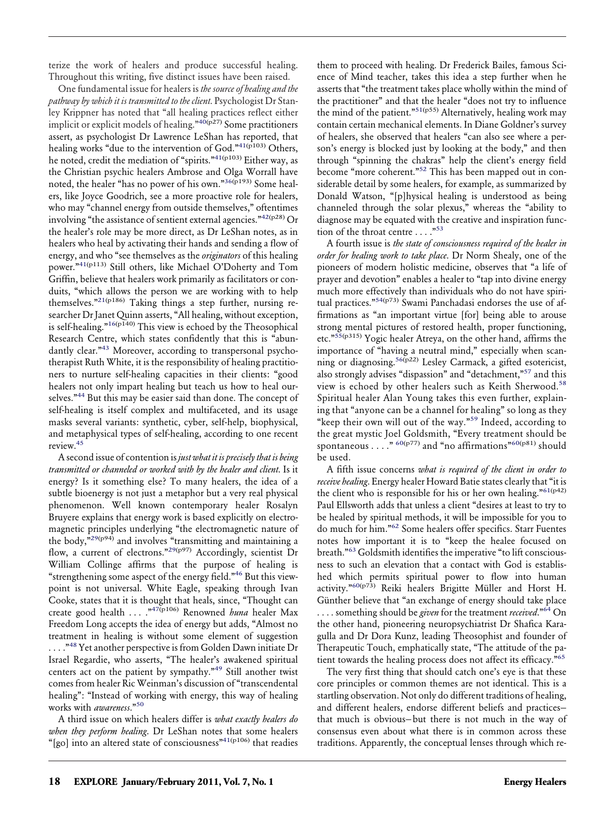terize the work of healers and produce successful healing. Throughout this writing, five distinct issues have been raised.

One fundamental issue for healers is *the source of healing and the pathway by which it is transmitted to the client*. Psychologist Dr Stanley Krippner has noted that "all healing practices reflect either implicit or explicit models of healing."<sup>[40\(](#page-12-0)p27)</sup> Some practitioners assert, as psychologist Dr Lawrence LeShan has reported, that healing works "due to the intervention of God."<sup>[41\(](#page-12-0)p103)</sup> Others, he noted, credit the mediation of "spirits."<sup>41(p103)</sup> Either way, as the Christian psychic healers Ambrose and Olga Worrall have noted, the healer "has no power of his own."[36\(](#page-12-0)p193) Some healers, like Joyce Goodrich, see a more proactive role for healers, who may "channel energy from outside themselves," oftentimes involving "the assistance of sentient external agencies."  $42(p28)$  Or the healer's role may be more direct, as Dr LeShan notes, as in healers who heal by activating their hands and sending a flow of energy, and who "see themselves as the *originators* of this healing power.["41\(](#page-12-0)p113) Still others, like Michael O'Doherty and Tom Griffin, believe that healers work primarily as facilitators or conduits, "which allows the person we are working with to help themselves."<sup>21(p186)</sup> Taking things a step further, nursing researcher Dr Janet Quinn asserts, "All healing, without exception, is self-healing.["16\(](#page-12-0)p140) This view is echoed by the Theosophical Research Centre, which states confidently that this is "abun-dantly clear."<sup>[43](#page-12-0)</sup> Moreover, according to transpersonal psychotherapist Ruth White, it is the responsibility of healing practitioners to nurture self-healing capacities in their clients: "good healers not only impart healing but teach us how to heal our-selves."<sup>[44](#page-12-0)</sup> But this may be easier said than done. The concept of self-healing is itself complex and multifaceted, and its usage masks several variants: synthetic, cyber, self-help, biophysical, and metaphysical types of self-healing, according to one recent review[.45](#page-12-0)

A second issue of contention is*just what it is precisely that is being transmitted or channeled or worked with by the healer and client*. Is it energy? Is it something else? To many healers, the idea of a subtle bioenergy is not just a metaphor but a very real physical phenomenon. Well known contemporary healer Rosalyn Bruyere explains that energy work is based explicitly on electromagnetic principles underlying "the electromagnetic nature of the body," $29(p94)$  and involves "transmitting and maintaining a flow, a current of electrons."<sup>[29\(](#page-12-0)p97)</sup> Accordingly, scientist Dr William Collinge affirms that the purpose of healing is "strengthening some aspect of the energy field.["46](#page-12-0) But this viewpoint is not universal. White Eagle, speaking through Ivan Cooke, states that it is thought that heals, since, "Thought can create good health . . . . . <sup>["47\(](#page-12-0)p106)</sup> Renowned *huna* healer Max Freedom Long accepts the idea of energy but adds, "Almost no treatment in healing is without some element of suggestion ...."<sup>[48](#page-12-0)</sup> Yet another perspective is from Golden Dawn initiate Dr Israel Regardie, who asserts, "The healer's awakened spiritual centers act on the patient by sympathy."<sup>[49](#page-12-0)</sup> Still another twist comes from healer Ric Weinman's discussion of "transcendental healing": "Instead of working with energy, this way of healing works with *awareness*."[50](#page-12-0)

A third issue on which healers differ is *what exactly healers do when they perform healing*. Dr LeShan notes that some healers "[go] into an altered state of consciousness"<sup>41(p106)</sup> that readies them to proceed with healing. Dr Frederick Bailes, famous Science of Mind teacher, takes this idea a step further when he asserts that "the treatment takes place wholly within the mind of the practitioner" and that the healer "does not try to influence the mind of the patient.["51\(](#page-12-0)p55) Alternatively, healing work may contain certain mechanical elements. In Diane Goldner's survey of healers, she observed that healers "can also see where a person's energy is blocked just by looking at the body," and then through "spinning the chakras" help the client's energy field become "more coherent.["52](#page-12-0) This has been mapped out in considerable detail by some healers, for example, as summarized by Donald Watson, "[p]hysical healing is understood as being channeled through the solar plexus," whereas the "ability to diagnose may be equated with the creative and inspiration function of the throat centre . . . . "<sup>53</sup>

A fourth issue is *the state of consciousness required of the healer in order for healing work to take place*. Dr Norm Shealy, one of the pioneers of modern holistic medicine, observes that "a life of prayer and devotion" enables a healer to "tap into divine energy much more effectively than individuals who do not have spiri-tual practices."<sup>[54\(](#page-12-0)p73)</sup> Swami Panchadasi endorses the use of affirmations as "an important virtue [for] being able to arouse strong mental pictures of restored health, proper functioning, etc."<sup>55(p315)</sup> Yogic healer Atreya, on the other hand, affirms the importance of "having a neutral mind," especially when scanning or diagnosing.<sup>56(p22)</sup> Lesley Carmack, a gifted esotericist, also strongly advises "dispassion" and "detachment,"<sup>[57](#page-12-0)</sup> and this view is echoed by other healers such as Keith Sherwood.<sup>[58](#page-12-0)</sup> Spiritual healer Alan Young takes this even further, explaining that "anyone can be a channel for healing" so long as they "keep their own will out of the way."[59](#page-12-0) Indeed, according to the great mystic Joel Goldsmith, "Every treatment should be spontaneous . . . ."  $^{60(p77)}$  $^{60(p77)}$  $^{60(p77)}$  and "no affirmations" $^{60(p81)}$  should be used.

A fifth issue concerns *what is required of the client in order to receive healing*. Energy healer Howard Batie states clearly that "it is the client who is responsible for his or her own healing." $61(p42)$  $61(p42)$ Paul Ellsworth adds that unless a client "desires at least to try to be healed by spiritual methods, it will be impossible for you to do much for him."[62](#page-12-0) Some healers offer specifics. Starr Fuentes notes how important it is to "keep the healee focused on breath."[63](#page-12-0) Goldsmith identifies the imperative "to lift consciousness to such an elevation that a contact with God is established which permits spiritual power to flow into human activity."<sup>60(p73)</sup> Reiki healers Brigitte Müller and Horst H. Günther believe that "an exchange of energy should take place . . . . something should be *given* for the treatment *received*."[64](#page-13-0) On the other hand, pioneering neuropsychiatrist Dr Shafica Karagulla and Dr Dora Kunz, leading Theosophist and founder of Therapeutic Touch, emphatically state, "The attitude of the patient towards the healing process does not affect its efficacy.["65](#page-13-0)

The very first thing that should catch one's eye is that these core principles or common themes are not identical. This is a startling observation. Not only do different traditions of healing, and different healers, endorse different beliefs and practices that much is obvious— but there is not much in the way of consensus even about what there is in common across these traditions. Apparently, the conceptual lenses through which re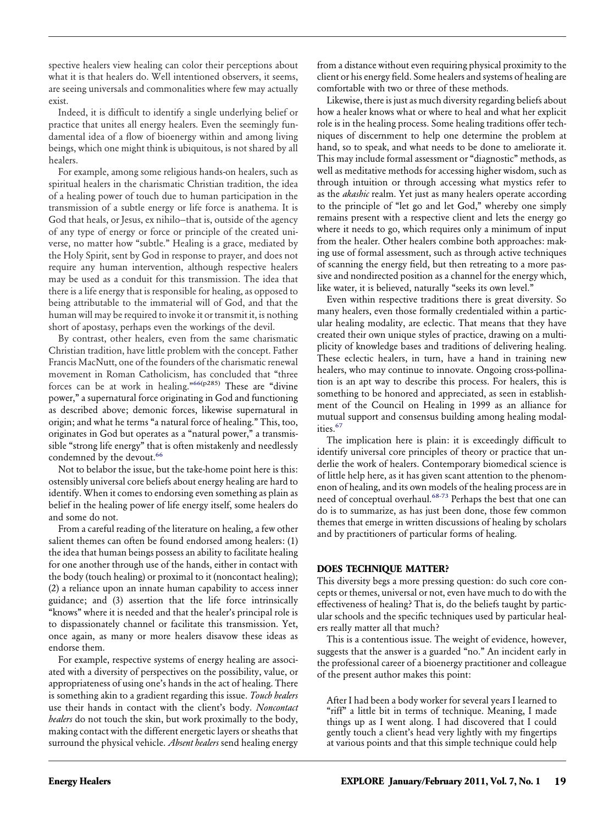spective healers view healing can color their perceptions about what it is that healers do. Well intentioned observers, it seems, are seeing universals and commonalities where few may actually exist.

Indeed, it is difficult to identify a single underlying belief or practice that unites all energy healers. Even the seemingly fundamental idea of a flow of bioenergy within and among living beings, which one might think is ubiquitous, is not shared by all healers.

For example, among some religious hands-on healers, such as spiritual healers in the charismatic Christian tradition, the idea of a healing power of touch due to human participation in the transmission of a subtle energy or life force is anathema. It is God that heals, or Jesus, ex nihilo—that is, outside of the agency of any type of energy or force or principle of the created universe, no matter how "subtle." Healing is a grace, mediated by the Holy Spirit, sent by God in response to prayer, and does not require any human intervention, although respective healers may be used as a conduit for this transmission. The idea that there is a life energy that is responsible for healing, as opposed to being attributable to the immaterial will of God, and that the human will may be required to invoke it or transmit it, is nothing short of apostasy, perhaps even the workings of the devil.

By contrast, other healers, even from the same charismatic Christian tradition, have little problem with the concept. Father Francis MacNutt, one of the founders of the charismatic renewal movement in Roman Catholicism, has concluded that "three forces can be at work in healing.<sup>"[66\(](#page-13-0)p285)</sup> These are "divine" power," a supernatural force originating in God and functioning as described above; demonic forces, likewise supernatural in origin; and what he terms "a natural force of healing." This, too, originates in God but operates as a "natural power," a transmissible "strong life energy" that is often mistakenly and needlessly condemned by the devout.<sup>66</sup>

Not to belabor the issue, but the take-home point here is this: ostensibly universal core beliefs about energy healing are hard to identify. When it comes to endorsing even something as plain as belief in the healing power of life energy itself, some healers do and some do not.

From a careful reading of the literature on healing, a few other salient themes can often be found endorsed among healers: (1) the idea that human beings possess an ability to facilitate healing for one another through use of the hands, either in contact with the body (touch healing) or proximal to it (noncontact healing); (2) a reliance upon an innate human capability to access inner guidance; and (3) assertion that the life force intrinsically "knows" where it is needed and that the healer's principal role is to dispassionately channel or facilitate this transmission. Yet, once again, as many or more healers disavow these ideas as endorse them.

For example, respective systems of energy healing are associated with a diversity of perspectives on the possibility, value, or appropriateness of using one's hands in the act of healing. There is something akin to a gradient regarding this issue. *Touch healers* use their hands in contact with the client's body. *Noncontact healers* do not touch the skin, but work proximally to the body, making contact with the different energetic layers or sheaths that surround the physical vehicle. *Absent healers* send healing energy

from a distance without even requiring physical proximity to the client or his energy field. Some healers and systems of healing are comfortable with two or three of these methods.

Likewise, there is just as much diversity regarding beliefs about how a healer knows what or where to heal and what her explicit role is in the healing process. Some healing traditions offer techniques of discernment to help one determine the problem at hand, so to speak, and what needs to be done to ameliorate it. This may include formal assessment or "diagnostic" methods, as well as meditative methods for accessing higher wisdom, such as through intuition or through accessing what mystics refer to as the *akashic* realm. Yet just as many healers operate according to the principle of "let go and let God," whereby one simply remains present with a respective client and lets the energy go where it needs to go, which requires only a minimum of input from the healer. Other healers combine both approaches: making use of formal assessment, such as through active techniques of scanning the energy field, but then retreating to a more passive and nondirected position as a channel for the energy which, like water, it is believed, naturally "seeks its own level."

Even within respective traditions there is great diversity. So many healers, even those formally credentialed within a particular healing modality, are eclectic. That means that they have created their own unique styles of practice, drawing on a multiplicity of knowledge bases and traditions of delivering healing. These eclectic healers, in turn, have a hand in training new healers, who may continue to innovate. Ongoing cross-pollination is an apt way to describe this process. For healers, this is something to be honored and appreciated, as seen in establishment of the Council on Healing in 1999 as an alliance for mutual support and consensus building among healing modalities.<sup>67</sup>

The implication here is plain: it is exceedingly difficult to identify universal core principles of theory or practice that underlie the work of healers. Contemporary biomedical science is of little help here, as it has given scant attention to the phenomenon of healing, and its own models of the healing process are in need of conceptual overhaul.<sup>68-73</sup> Perhaps the best that one can do is to summarize, as has just been done, those few common themes that emerge in written discussions of healing by scholars and by practitioners of particular forms of healing.

# **DOES TECHNIQUE MATTER?**

This diversity begs a more pressing question: do such core concepts or themes, universal or not, even have much to do with the effectiveness of healing? That is, do the beliefs taught by particular schools and the specific techniques used by particular healers really matter all that much?

This is a contentious issue. The weight of evidence, however, suggests that the answer is a guarded "no." An incident early in the professional career of a bioenergy practitioner and colleague of the present author makes this point:

After I had been a body worker for several years I learned to "riff" a little bit in terms of technique. Meaning, I made things up as I went along. I had discovered that I could gently touch a client's head very lightly with my fingertips at various points and that this simple technique could help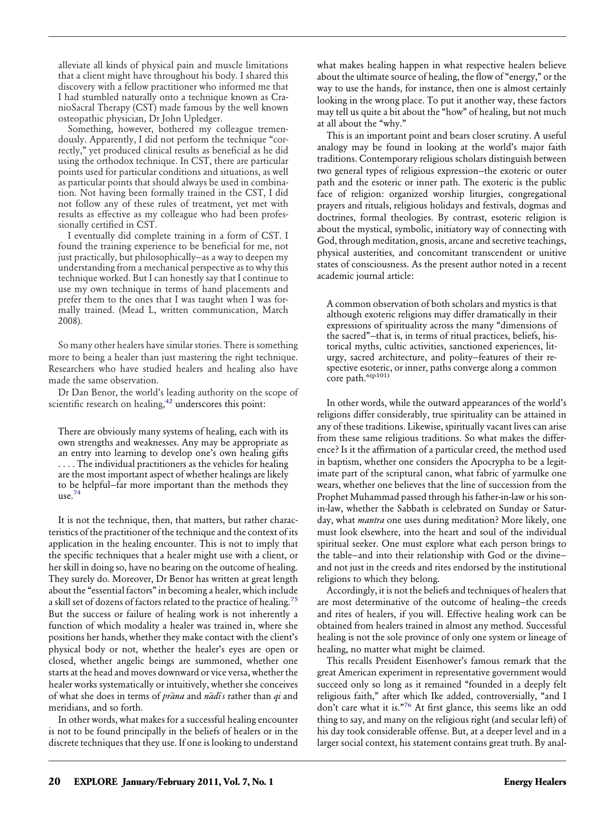alleviate all kinds of physical pain and muscle limitations that a client might have throughout his body. I shared this discovery with a fellow practitioner who informed me that I had stumbled naturally onto a technique known as CranioSacral Therapy (CST) made famous by the well known osteopathic physician, Dr John Upledger.

Something, however, bothered my colleague tremendously. Apparently, I did not perform the technique "correctly," yet produced clinical results as beneficial as he did using the orthodox technique. In CST, there are particular points used for particular conditions and situations, as well as particular points that should always be used in combination. Not having been formally trained in the CST, I did not follow any of these rules of treatment, yet met with results as effective as my colleague who had been professionally certified in CST.

I eventually did complete training in a form of CST. I found the training experience to be beneficial for me, not just practically, but philosophically—as a way to deepen my understanding from a mechanical perspective as to why this technique worked. But I can honestly say that I continue to use my own technique in terms of hand placements and prefer them to the ones that I was taught when I was formally trained. (Mead L, written communication, March 2008).

So many other healers have similar stories. There is something more to being a healer than just mastering the right technique. Researchers who have studied healers and healing also have made the same observation.

Dr Dan Benor, the world's leading authority on the scope of scientific research on healing,<sup>42</sup> underscores this point:

There are obviously many systems of healing, each with its own strengths and weaknesses. Any may be appropriate as an entry into learning to develop one's own healing gifts . . . . The individual practitioners as the vehicles for healing are the most important aspect of whether healings are likely to be helpful—far more important than the methods they use. $74$ 

It is not the technique, then, that matters, but rather characteristics of the practitioner of the technique and the context of its application in the healing encounter. This is not to imply that the specific techniques that a healer might use with a client, or her skill in doing so, have no bearing on the outcome of healing. They surely do. Moreover, Dr Benor has written at great length about the "essential factors" in becoming a healer, which include a skill set of dozens of factors related to the practice of healing.<sup>[75](#page-13-0)</sup> But the success or failure of healing work is not inherently a function of which modality a healer was trained in, where she positions her hands, whether they make contact with the client's physical body or not, whether the healer's eyes are open or closed, whether angelic beings are summoned, whether one starts at the head and moves downward or vice versa, whether the healer works systematically or intuitively, whether she conceives of what she does in terms of *pra*!*na* and *na*!*dı*!*s* rather than *qi* and meridians, and so forth.

In other words, what makes for a successful healing encounter is not to be found principally in the beliefs of healers or in the discrete techniques that they use. If one is looking to understand

what makes healing happen in what respective healers believe about the ultimate source of healing, the flow of "energy," or the way to use the hands, for instance, then one is almost certainly looking in the wrong place. To put it another way, these factors may tell us quite a bit about the "how" of healing, but not much at all about the "why."

This is an important point and bears closer scrutiny. A useful analogy may be found in looking at the world's major faith traditions. Contemporary religious scholars distinguish between two general types of religious expression—the exoteric or outer path and the esoteric or inner path. The exoteric is the public face of religion: organized worship liturgies, congregational prayers and rituals, religious holidays and festivals, dogmas and doctrines, formal theologies. By contrast, esoteric religion is about the mystical, symbolic, initiatory way of connecting with God, through meditation, gnosis, arcane and secretive teachings, physical austerities, and concomitant transcendent or unitive states of consciousness. As the present author noted in a recent academic journal article:

A common observation of both scholars and mystics is that although exoteric religions may differ dramatically in their expressions of spirituality across the many "dimensions of the sacred"—that is, in terms of ritual practices, beliefs, historical myths, cultic activities, sanctioned experiences, liturgy, sacred architecture, and polity—features of their respective esoteric, or inner, paths converge along a common core path.<sup>6(p101)</sup>

In other words, while the outward appearances of the world's religions differ considerably, true spirituality can be attained in any of these traditions. Likewise, spiritually vacant lives can arise from these same religious traditions. So what makes the difference? Is it the affirmation of a particular creed, the method used in baptism, whether one considers the Apocrypha to be a legitimate part of the scriptural canon, what fabric of yarmulke one wears, whether one believes that the line of succession from the Prophet Muhammad passed through his father-in-law or his sonin-law, whether the Sabbath is celebrated on Sunday or Saturday, what *mantra* one uses during meditation? More likely, one must look elsewhere, into the heart and soul of the individual spiritual seeker. One must explore what each person brings to the table—and into their relationship with God or the divine and not just in the creeds and rites endorsed by the institutional religions to which they belong.

Accordingly, it is not the beliefs and techniques of healers that are most determinative of the outcome of healing—the creeds and rites of healers, if you will. Effective healing work can be obtained from healers trained in almost any method. Successful healing is not the sole province of only one system or lineage of healing, no matter what might be claimed.

This recalls President Eisenhower's famous remark that the great American experiment in representative government would succeed only so long as it remained "founded in a deeply felt religious faith," after which Ike added, controversially, "and I don't care what it is.["76](#page-13-0) At first glance, this seems like an odd thing to say, and many on the religious right (and secular left) of his day took considerable offense. But, at a deeper level and in a larger social context, his statement contains great truth. By anal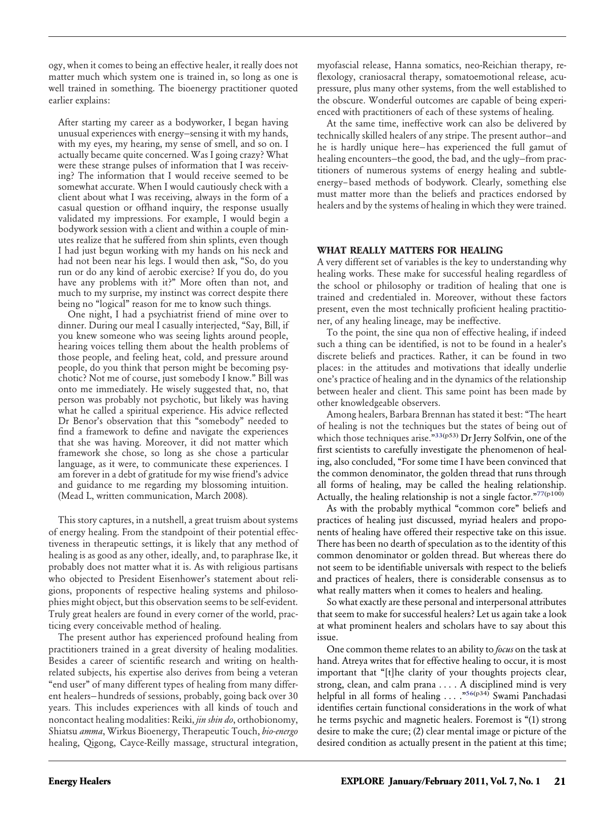ogy, when it comes to being an effective healer, it really does not matter much which system one is trained in, so long as one is well trained in something. The bioenergy practitioner quoted earlier explains:

After starting my career as a bodyworker, I began having unusual experiences with energy—sensing it with my hands, with my eyes, my hearing, my sense of smell, and so on. I actually became quite concerned. Was I going crazy? What were these strange pulses of information that I was receiving? The information that I would receive seemed to be somewhat accurate. When I would cautiously check with a client about what I was receiving, always in the form of a casual question or offhand inquiry, the response usually validated my impressions. For example, I would begin a bodywork session with a client and within a couple of minutes realize that he suffered from shin splints, even though I had just begun working with my hands on his neck and had not been near his legs. I would then ask, "So, do you run or do any kind of aerobic exercise? If you do, do you have any problems with it?" More often than not, and much to my surprise, my instinct was correct despite there being no "logical" reason for me to know such things.

One night, I had a psychiatrist friend of mine over to dinner. During our meal I casually interjected, "Say, Bill, if you knew someone who was seeing lights around people, hearing voices telling them about the health problems of those people, and feeling heat, cold, and pressure around people, do you think that person might be becoming psychotic? Not me of course, just somebody I know." Bill was onto me immediately. He wisely suggested that, no, that person was probably not psychotic, but likely was having what he called a spiritual experience. His advice reflected Dr Benor's observation that this "somebody" needed to find a framework to define and navigate the experiences that she was having. Moreover, it did not matter which framework she chose, so long as she chose a particular language, as it were, to communicate these experiences. I am forever in a debt of gratitude for my wise friend's advice and guidance to me regarding my blossoming intuition. (Mead L, written communication, March 2008).

This story captures, in a nutshell, a great truism about systems of energy healing. From the standpoint of their potential effectiveness in therapeutic settings, it is likely that any method of healing is as good as any other, ideally, and, to paraphrase Ike, it probably does not matter what it is. As with religious partisans who objected to President Eisenhower's statement about religions, proponents of respective healing systems and philosophies might object, but this observation seems to be self-evident. Truly great healers are found in every corner of the world, practicing every conceivable method of healing.

The present author has experienced profound healing from practitioners trained in a great diversity of healing modalities. Besides a career of scientific research and writing on healthrelated subjects, his expertise also derives from being a veteran "end user" of many different types of healing from many different healers— hundreds of sessions, probably, going back over 30 years. This includes experiences with all kinds of touch and noncontact healing modalities: Reiki, *jin shin do*, orthobionomy, Shiatsu *amma*, Wirkus Bioenergy, Therapeutic Touch, *bio-energo* healing, Qigong, Cayce-Reilly massage, structural integration,

myofascial release, Hanna somatics, neo-Reichian therapy, reflexology, craniosacral therapy, somatoemotional release, acupressure, plus many other systems, from the well established to the obscure. Wonderful outcomes are capable of being experienced with practitioners of each of these systems of healing.

At the same time, ineffective work can also be delivered by technically skilled healers of any stripe. The present author—and he is hardly unique here— has experienced the full gamut of healing encounters—the good, the bad, and the ugly—from practitioners of numerous systems of energy healing and subtleenergy– based methods of bodywork. Clearly, something else must matter more than the beliefs and practices endorsed by healers and by the systems of healing in which they were trained.

## **WHAT REALLY MATTERS FOR HEALING**

A very different set of variables is the key to understanding why healing works. These make for successful healing regardless of the school or philosophy or tradition of healing that one is trained and credentialed in. Moreover, without these factors present, even the most technically proficient healing practitioner, of any healing lineage, may be ineffective.

To the point, the sine qua non of effective healing, if indeed such a thing can be identified, is not to be found in a healer's discrete beliefs and practices. Rather, it can be found in two places: in the attitudes and motivations that ideally underlie one's practice of healing and in the dynamics of the relationship between healer and client. This same point has been made by other knowledgeable observers.

Among healers, Barbara Brennan has stated it best: "The heart of healing is not the techniques but the states of being out of which those techniques arise." $33(p53)$  $33(p53)$  Dr Jerry Solfvin, one of the first scientists to carefully investigate the phenomenon of healing, also concluded, "For some time I have been convinced that the common denominator, the golden thread that runs through all forms of healing, may be called the healing relationship. Actually, the healing relationship is not a single factor." $77(p100)$ 

As with the probably mythical "common core" beliefs and practices of healing just discussed, myriad healers and proponents of healing have offered their respective take on this issue. There has been no dearth of speculation as to the identity of this common denominator or golden thread. But whereas there do not seem to be identifiable universals with respect to the beliefs and practices of healers, there is considerable consensus as to what really matters when it comes to healers and healing.

So what exactly are these personal and interpersonal attributes that seem to make for successful healers? Let us again take a look at what prominent healers and scholars have to say about this issue.

One common theme relates to an ability to *focus* on the task at hand. Atreya writes that for effective healing to occur, it is most important that "[t]he clarity of your thoughts projects clear, strong, clean, and calm prana . . . . A disciplined mind is very helpful in all forms of healing . . . .["56\(](#page-12-0)p34) Swami Panchadasi identifies certain functional considerations in the work of what he terms psychic and magnetic healers. Foremost is "(1) strong desire to make the cure; (2) clear mental image or picture of the desired condition as actually present in the patient at this time;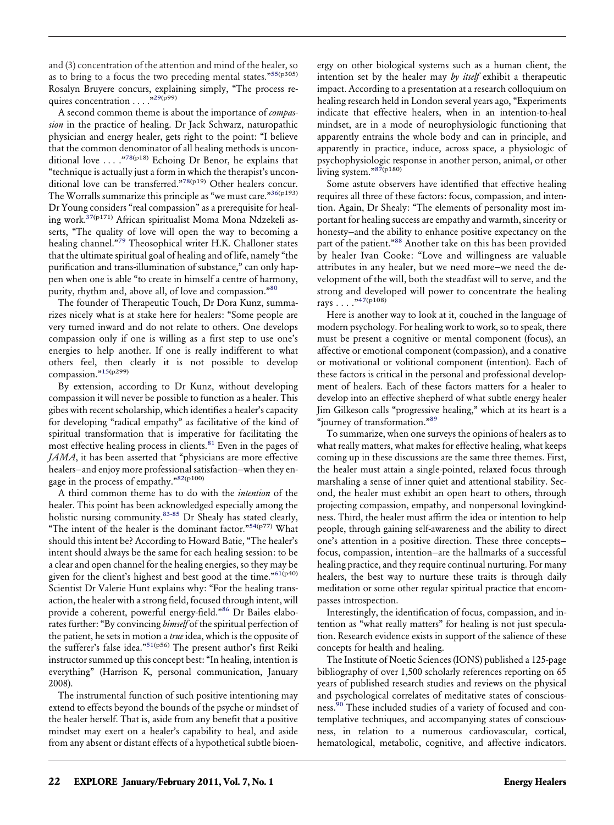and (3) concentration of the attention and mind of the healer, so as to bring to a focus the two preceding mental states."[55\(](#page-12-0)p305) Rosalyn Bruyere concurs, explaining simply, "The process requires concentration . . . . "<sup>29(p99)</sup>

A second common theme is about the importance of *compassion* in the practice of healing. Dr Jack Schwarz, naturopathic physician and energy healer, gets right to the point: "I believe that the common denominator of all healing methods is unconditional love  $\ldots$ ."<sup>[78\(](#page-13-0)p18)</sup> Echoing Dr Benor, he explains that "technique is actually just a form in which the therapist's unconditional love can be transferred.["78\(](#page-13-0)p19) Other healers concur. The Worralls summarize this principle as "we must care."<sup>[36\(](#page-12-0)p193)</sup> Dr Young considers "real compassion" as a prerequisite for healing work.[37\(](#page-12-0)p171) African spiritualist Moma Mona Ndzekeli asserts, "The quality of love will open the way to becoming a healing channel."<sup>[79](#page-13-0)</sup> Theosophical writer H.K. Challoner states that the ultimate spiritual goal of healing and of life, namely "the purification and trans-illumination of substance," can only happen when one is able "to create in himself a centre of harmony, purity, rhythm and, above all, of love and compassion.["80](#page-13-0)

The founder of Therapeutic Touch, Dr Dora Kunz, summarizes nicely what is at stake here for healers: "Some people are very turned inward and do not relate to others. One develops compassion only if one is willing as a first step to use one's energies to help another. If one is really indifferent to what others feel, then clearly it is not possible to develop compassion.["15\(](#page-12-0)p299)

By extension, according to Dr Kunz, without developing compassion it will never be possible to function as a healer. This gibes with recent scholarship, which identifies a healer's capacity for developing "radical empathy" as facilitative of the kind of spiritual transformation that is imperative for facilitating the most effective healing process in clients.<sup>[81](#page-13-0)</sup> Even in the pages of *JAMA*, it has been asserted that "physicians are more effective healers—and enjoy more professional satisfaction—when they engage in the process of empathy.["82\(](#page-13-0)p100)

A third common theme has to do with the *intention* of the healer. This point has been acknowledged especially among the holistic nursing community.<sup>[83-85](#page-13-0)</sup> Dr Shealy has stated clearly, "The intent of the healer is the dominant factor.["54\(](#page-12-0)p77) What should this intent be? According to Howard Batie, "The healer's intent should always be the same for each healing session: to be a clear and open channel for the healing energies, so they may be given for the client's highest and best good at the time."<sup>[61\(](#page-12-0)p40)</sup> Scientist Dr Valerie Hunt explains why: "For the healing transaction, the healer with a strong field, focused through intent, will provide a coherent, powerful energy-field."[86](#page-13-0) Dr Bailes elaborates further: "By convincing *himself* of the spiritual perfection of the patient, he sets in motion a *true* idea, which is the opposite of the sufferer's false idea.["51\(](#page-12-0)p56) The present author's first Reiki instructor summed up this concept best: "In healing, intention is everything" (Harrison K, personal communication, January 2008).

The instrumental function of such positive intentioning may extend to effects beyond the bounds of the psyche or mindset of the healer herself. That is, aside from any benefit that a positive mindset may exert on a healer's capability to heal, and aside from any absent or distant effects of a hypothetical subtle bioenergy on other biological systems such as a human client, the intention set by the healer may *by itself* exhibit a therapeutic impact. According to a presentation at a research colloquium on healing research held in London several years ago, "Experiments indicate that effective healers, when in an intention-to-heal mindset, are in a mode of neurophysiologic functioning that apparently entrains the whole body and can in principle, and apparently in practice, induce, across space, a physiologic of psychophysiologic response in another person, animal, or other living system.["87\(](#page-13-0)p180)

Some astute observers have identified that effective healing requires all three of these factors: focus, compassion, and intention. Again, Dr Shealy: "The elements of personality most important for healing success are empathy and warmth, sincerity or honesty—and the ability to enhance positive expectancy on the part of the patient.["88](#page-13-0) Another take on this has been provided by healer Ivan Cooke: "Love and willingness are valuable attributes in any healer, but we need more—we need the development of the will, both the steadfast will to serve, and the strong and developed will power to concentrate the healing rays . . . .  $^{m47(p108)}$  $^{m47(p108)}$  $^{m47(p108)}$ 

Here is another way to look at it, couched in the language of modern psychology. For healing work to work, so to speak, there must be present a cognitive or mental component (focus), an affective or emotional component (compassion), and a conative or motivational or volitional component (intention). Each of these factors is critical in the personal and professional development of healers. Each of these factors matters for a healer to develop into an effective shepherd of what subtle energy healer Jim Gilkeson calls "progressive healing," which at its heart is a "journey of transformation.["89](#page-13-0)

To summarize, when one surveys the opinions of healers as to what really matters, what makes for effective healing, what keeps coming up in these discussions are the same three themes. First, the healer must attain a single-pointed, relaxed focus through marshaling a sense of inner quiet and attentional stability. Second, the healer must exhibit an open heart to others, through projecting compassion, empathy, and nonpersonal lovingkindness. Third, the healer must affirm the idea or intention to help people, through gaining self-awareness and the ability to direct one's attention in a positive direction. These three concepts focus, compassion, intention—are the hallmarks of a successful healing practice, and they require continual nurturing. For many healers, the best way to nurture these traits is through daily meditation or some other regular spiritual practice that encompasses introspection.

Interestingly, the identification of focus, compassion, and intention as "what really matters" for healing is not just speculation. Research evidence exists in support of the salience of these concepts for health and healing.

The Institute of Noetic Sciences (IONS) published a 125-page bibliography of over 1,500 scholarly references reporting on 65 years of published research studies and reviews on the physical and psychological correlates of meditative states of consciousness[.90](#page-13-0) These included studies of a variety of focused and contemplative techniques, and accompanying states of consciousness, in relation to a numerous cardiovascular, cortical, hematological, metabolic, cognitive, and affective indicators.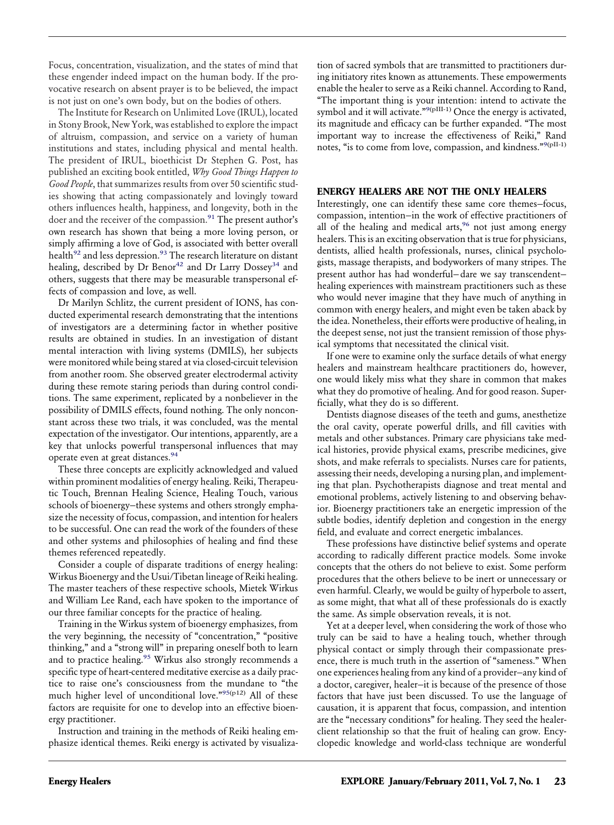Focus, concentration, visualization, and the states of mind that these engender indeed impact on the human body. If the provocative research on absent prayer is to be believed, the impact is not just on one's own body, but on the bodies of others.

The Institute for Research on Unlimited Love (IRUL), located in Stony Brook, New York, was established to explore the impact of altruism, compassion, and service on a variety of human institutions and states, including physical and mental health. The president of IRUL, bioethicist Dr Stephen G. Post, has published an exciting book entitled, *Why Good Things Happen to Good People*, that summarizes results from over 50 scientific studies showing that acting compassionately and lovingly toward others influences health, happiness, and longevity, both in the doer and the receiver of the compassion.<sup>91</sup> The present author's own research has shown that being a more loving person, or simply affirming a love of God, is associated with better overall health<sup>92</sup> and less depression.<sup>93</sup> The research literature on distant healing, described by Dr Benor<sup>[42](#page-12-0)</sup> and Dr Larry Dossev<sup>[34](#page-12-0)</sup> and others, suggests that there may be measurable transpersonal effects of compassion and love, as well.

Dr Marilyn Schlitz, the current president of IONS, has conducted experimental research demonstrating that the intentions of investigators are a determining factor in whether positive results are obtained in studies. In an investigation of distant mental interaction with living systems (DMILS), her subjects were monitored while being stared at via closed-circuit television from another room. She observed greater electrodermal activity during these remote staring periods than during control conditions. The same experiment, replicated by a nonbeliever in the possibility of DMILS effects, found nothing. The only nonconstant across these two trials, it was concluded, was the mental expectation of the investigator. Our intentions, apparently, are a key that unlocks powerful transpersonal influences that may operate even at great distances.<sup>94</sup>

These three concepts are explicitly acknowledged and valued within prominent modalities of energy healing. Reiki, Therapeutic Touch, Brennan Healing Science, Healing Touch, various schools of bioenergy—these systems and others strongly emphasize the necessity of focus, compassion, and intention for healers to be successful. One can read the work of the founders of these and other systems and philosophies of healing and find these themes referenced repeatedly.

Consider a couple of disparate traditions of energy healing: Wirkus Bioenergy and the Usui/Tibetan lineage of Reiki healing. The master teachers of these respective schools, Mietek Wirkus and William Lee Rand, each have spoken to the importance of our three familiar concepts for the practice of healing.

Training in the Wirkus system of bioenergy emphasizes, from the very beginning, the necessity of "concentration," "positive thinking," and a "strong will" in preparing oneself both to learn and to practice healing.<sup>95</sup> Wirkus also strongly recommends a specific type of heart-centered meditative exercise as a daily practice to raise one's consciousness from the mundane to "the much higher level of unconditional love."<sup>95(p12)</sup> All of these factors are requisite for one to develop into an effective bioenergy practitioner.

Instruction and training in the methods of Reiki healing emphasize identical themes. Reiki energy is activated by visualization of sacred symbols that are transmitted to practitioners during initiatory rites known as attunements. These empowerments enable the healer to serve as a Reiki channel. According to Rand, "The important thing is your intention: intend to activate the symbol and it will activate."<sup>[9\(](#page-12-0)pIII-1)</sup> Once the energy is activated, its magnitude and efficacy can be further expanded. "The most important way to increase the effectiveness of Reiki," Rand notes, "is to come from love, compassion, and kindness.["9\(](#page-12-0)pII-1)

# **ENERGY HEALERS ARE NOT THE ONLY HEALERS**

Interestingly, one can identify these same core themes—focus, compassion, intention—in the work of effective practitioners of all of the healing and medical arts, $96$  not just among energy healers. This is an exciting observation that is true for physicians, dentists, allied health professionals, nurses, clinical psychologists, massage therapists, and bodyworkers of many stripes. The present author has had wonderful— dare we say transcendent healing experiences with mainstream practitioners such as these who would never imagine that they have much of anything in common with energy healers, and might even be taken aback by the idea. Nonetheless, their efforts were productive of healing, in the deepest sense, not just the transient remission of those physical symptoms that necessitated the clinical visit.

If one were to examine only the surface details of what energy healers and mainstream healthcare practitioners do, however, one would likely miss what they share in common that makes what they do promotive of healing. And for good reason. Superficially, what they do is so different.

Dentists diagnose diseases of the teeth and gums, anesthetize the oral cavity, operate powerful drills, and fill cavities with metals and other substances. Primary care physicians take medical histories, provide physical exams, prescribe medicines, give shots, and make referrals to specialists. Nurses care for patients, assessing their needs, developing a nursing plan, and implementing that plan. Psychotherapists diagnose and treat mental and emotional problems, actively listening to and observing behavior. Bioenergy practitioners take an energetic impression of the subtle bodies, identify depletion and congestion in the energy field, and evaluate and correct energetic imbalances.

These professions have distinctive belief systems and operate according to radically different practice models. Some invoke concepts that the others do not believe to exist. Some perform procedures that the others believe to be inert or unnecessary or even harmful. Clearly, we would be guilty of hyperbole to assert, as some might, that what all of these professionals do is exactly the same. As simple observation reveals, it is not.

Yet at a deeper level, when considering the work of those who truly can be said to have a healing touch, whether through physical contact or simply through their compassionate presence, there is much truth in the assertion of "sameness." When one experiences healing from any kind of a provider—any kind of a doctor, caregiver, healer—it is because of the presence of those factors that have just been discussed. To use the language of causation, it is apparent that focus, compassion, and intention are the "necessary conditions" for healing. They seed the healerclient relationship so that the fruit of healing can grow. Encyclopedic knowledge and world-class technique are wonderful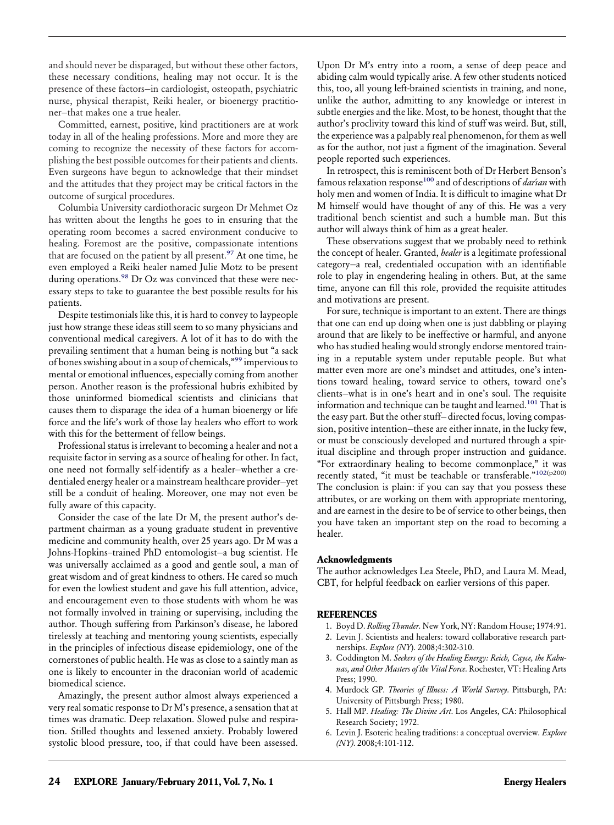<span id="page-11-0"></span>and should never be disparaged, but without these other factors, these necessary conditions, healing may not occur. It is the presence of these factors—in cardiologist, osteopath, psychiatric nurse, physical therapist, Reiki healer, or bioenergy practitioner—that makes one a true healer.

Committed, earnest, positive, kind practitioners are at work today in all of the healing professions. More and more they are coming to recognize the necessity of these factors for accomplishing the best possible outcomes for their patients and clients. Even surgeons have begun to acknowledge that their mindset and the attitudes that they project may be critical factors in the outcome of surgical procedures.

Columbia University cardiothoracic surgeon Dr Mehmet Oz has written about the lengths he goes to in ensuring that the operating room becomes a sacred environment conducive to healing. Foremost are the positive, compassionate intentions that are focused on the patient by all present.<sup>[97](#page-13-0)</sup> At one time, he even employed a Reiki healer named Julie Motz to be present during operations.<sup>98</sup> Dr Oz was convinced that these were necessary steps to take to guarantee the best possible results for his patients.

Despite testimonials like this, it is hard to convey to laypeople just how strange these ideas still seem to so many physicians and conventional medical caregivers. A lot of it has to do with the prevailing sentiment that a human being is nothing but "a sack of bones swishing about in a soup of chemicals,["99](#page-13-0) impervious to mental or emotional influences, especially coming from another person. Another reason is the professional hubris exhibited by those uninformed biomedical scientists and clinicians that causes them to disparage the idea of a human bioenergy or life force and the life's work of those lay healers who effort to work with this for the betterment of fellow beings.

Professional status is irrelevant to becoming a healer and not a requisite factor in serving as a source of healing for other. In fact, one need not formally self-identify as a healer—whether a credentialed energy healer or a mainstream healthcare provider—yet still be a conduit of healing. Moreover, one may not even be fully aware of this capacity.

Consider the case of the late Dr M, the present author's department chairman as a young graduate student in preventive medicine and community health, over 25 years ago. Dr M was a Johns-Hopkins–trained PhD entomologist—a bug scientist. He was universally acclaimed as a good and gentle soul, a man of great wisdom and of great kindness to others. He cared so much for even the lowliest student and gave his full attention, advice, and encouragement even to those students with whom he was not formally involved in training or supervising, including the author. Though suffering from Parkinson's disease, he labored tirelessly at teaching and mentoring young scientists, especially in the principles of infectious disease epidemiology, one of the cornerstones of public health. He was as close to a saintly man as one is likely to encounter in the draconian world of academic biomedical science.

Amazingly, the present author almost always experienced a very real somatic response to Dr M's presence, a sensation that at times was dramatic. Deep relaxation. Slowed pulse and respiration. Stilled thoughts and lessened anxiety. Probably lowered systolic blood pressure, too, if that could have been assessed.

Upon Dr M's entry into a room, a sense of deep peace and abiding calm would typically arise. A few other students noticed this, too, all young left-brained scientists in training, and none, unlike the author, admitting to any knowledge or interest in subtle energies and the like. Most, to be honest, thought that the author's proclivity toward this kind of stuff was weird. But, still, the experience was a palpably real phenomenon, for them as well as for the author, not just a figment of the imagination. Several people reported such experiences.

In retrospect, this is reminiscent both of Dr Herbert Benson's famous relaxation response<sup>100</sup> and of descriptions of *dar'san* with holy men and women of India. It is difficult to imagine what Dr M himself would have thought of any of this. He was a very traditional bench scientist and such a humble man. But this author will always think of him as a great healer.

These observations suggest that we probably need to rethink the concept of healer. Granted, *healer* is a legitimate professional category—a real, credentialed occupation with an identifiable role to play in engendering healing in others. But, at the same time, anyone can fill this role, provided the requisite attitudes and motivations are present.

For sure, technique is important to an extent. There are things that one can end up doing when one is just dabbling or playing around that are likely to be ineffective or harmful, and anyone who has studied healing would strongly endorse mentored training in a reputable system under reputable people. But what matter even more are one's mindset and attitudes, one's intentions toward healing, toward service to others, toward one's clients—what is in one's heart and in one's soul. The requisite information and technique can be taught and learned.<sup>[101](#page-13-0)</sup> That is the easy part. But the other stuff— directed focus, loving compassion, positive intention—these are either innate, in the lucky few, or must be consciously developed and nurtured through a spiritual discipline and through proper instruction and guidance. "For extraordinary healing to become commonplace," it was recently stated, "it must be teachable or transferable."[102\(](#page-13-0)p200) The conclusion is plain: if you can say that you possess these attributes, or are working on them with appropriate mentoring, and are earnest in the desire to be of service to other beings, then you have taken an important step on the road to becoming a healer.

### **Acknowledgments**

The author acknowledges Lea Steele, PhD, and Laura M. Mead, CBT, for helpful feedback on earlier versions of this paper.

#### **REFERENCES**

- 1. Boyd D. *Rolling Thunder.* New York, NY: Random House; 1974:91.
- 2. Levin J. Scientists and healers: toward collaborative research partnerships. *Explore (NY*). 2008;4:302-310.
- 3. Coddington M. *Seekers of the Healing Energy: Reich, Cayce, the Kahunas, and Other Masters of the Vital Force.* Rochester, VT: Healing Arts Press; 1990.
- 4. Murdock GP. *Theories of Illness: A World Survey.* Pittsburgh, PA: University of Pittsburgh Press; 1980.
- 5. Hall MP. *Healing: The Divine Art*. Los Angeles, CA: Philosophical Research Society; 1972.
- 6. Levin J. Esoteric healing traditions: a conceptual overview. *Explore (NY).* 2008;4:101-112.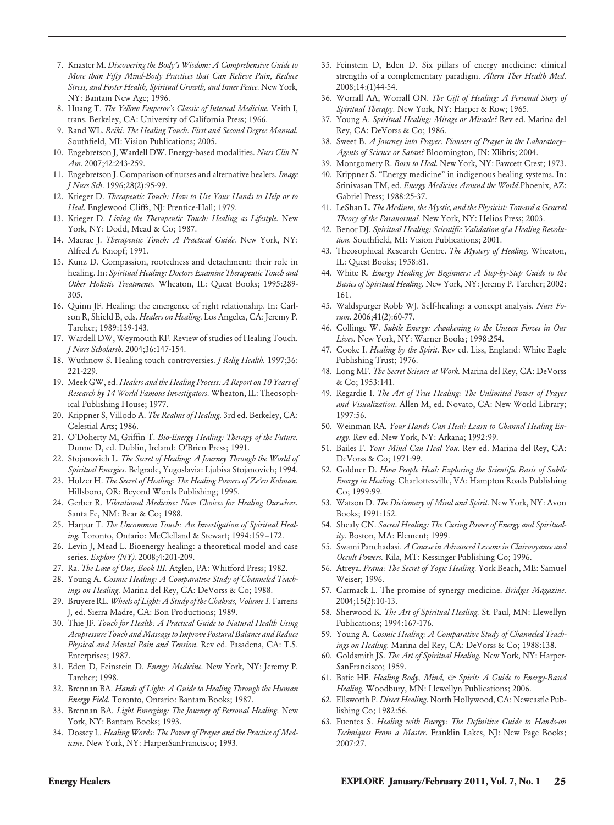- <span id="page-12-0"></span>7. Knaster M. *Discovering the Body's Wisdom: A Comprehensive Guide to More than Fifty Mind-Body Practices that Can Relieve Pain, Reduce Stress, and Foster Health, Spiritual Growth, and Inner Peace.* New York, NY: Bantam New Age; 1996.
- 8. Huang T. *The Yellow Emperor's Classic of Internal Medicine.* Veith I, trans. Berkeley, CA: University of California Press; 1966.
- 9. Rand WL. *Reiki: The Healing Touch: First and Second Degree Manual.* Southfield, MI: Vision Publications; 2005.
- 10. Engebretson J, Wardell DW. Energy-based modalities. *Nurs Clin N Am.* 2007;42:243-259.
- 11. Engebretson J. Comparison of nurses and alternative healers. *Image J Nurs Sch.* 1996;28(2):95-99.
- 12. Krieger D. *Therapeutic Touch: How to Use Your Hands to Help or to Heal.* Englewood Cliffs, NJ: Prentice-Hall; 1979.
- 13. Krieger D. *Living the Therapeutic Touch: Healing as Lifestyle.* New York, NY: Dodd, Mead & Co; 1987.
- 14. Macrae J. *Therapeutic Touch: A Practical Guide.* New York, NY: Alfred A. Knopf; 1991.
- 15. Kunz D. Compassion, rootedness and detachment: their role in healing. In: *Spiritual Healing: Doctors Examine Therapeutic Touch and Other Holistic Treatments*. Wheaton, IL: Quest Books; 1995:289- 305.
- 16. Quinn JF. Healing: the emergence of right relationship. In: Carlson R, Shield B, eds. *Healers on Healing*. Los Angeles, CA: Jeremy P. Tarcher; 1989:139-143.
- 17. Wardell DW, Weymouth KF. Review of studies of Healing Touch. *J Nurs Scholarsh.* 2004;36:147-154.
- 18. Wuthnow S. Healing touch controversies. *J Relig Health.* 1997;36: 221-229.
- 19. Meek GW, ed. *Healers and the Healing Process: A Report on 10 Years of Research by 14 World Famous Investigators.* Wheaton, IL: Theosophical Publishing House; 1977.
- 20. Krippner S, Villodo A. *The Realms of Healing.* 3rd ed. Berkeley, CA: Celestial Arts; 1986.
- 21. O'Doherty M, Griffin T. *Bio-Energy Healing: Therapy of the Future.* Dunne D, ed. Dublin, Ireland: O'Brien Press; 1991.
- 22. Stojanovich L. *The Secret of Healing: A Journey Through the World of Spiritual Energies.* Belgrade, Yugoslavia: Ljubisa Stojanovich; 1994.
- 23. Holzer H. *The Secret of Healing: The Healing Powers of Ze'ev Kolman.* Hillsboro, OR: Beyond Words Publishing; 1995.
- 24. Gerber R. *Vibrational Medicine: New Choices for Healing Ourselves.* Santa Fe, NM: Bear & Co; 1988.
- 25. Harpur T. *The Uncommon Touch: An Investigation of Spiritual Healing.* Toronto, Ontario: McClelland & Stewart; 1994:159 –172.
- 26. Levin J, Mead L. Bioenergy healing: a theoretical model and case series. *Explore (NY).* 2008;4:201-209.
- 27. Ra. *The Law of One, Book III.* Atglen, PA: Whitford Press; 1982.
- 28. Young A. *Cosmic Healing: A Comparative Study of Channeled Teachings on Healing.* Marina del Rey, CA: DeVorss & Co; 1988.
- 29. Bruyere RL. *Wheels of Light: A Study of the Chakras, Volume 1.* Farrens J, ed. Sierra Madre, CA: Bon Productions; 1989.
- 30. Thie JF. *Touch for Health: A Practical Guide to Natural Health Using Acupressure Touch and Massage to Improve Postural Balance and Reduce Physical and Mental Pain and Tension*. Rev ed. Pasadena, CA: T.S. Enterprises; 1987.
- 31. Eden D, Feinstein D. *Energy Medicine.* New York, NY: Jeremy P. Tarcher; 1998.
- 32. Brennan BA. *Hands of Light: A Guide to Healing Through the Human Energy Field.* Toronto, Ontario: Bantam Books; 1987.
- 33. Brennan BA. *Light Emerging: The Journey of Personal Healing.* New York, NY: Bantam Books; 1993.
- 34. Dossey L. *Healing Words: The Power of Prayer and the Practice of Medicine.* New York, NY: HarperSanFrancisco; 1993.
- 35. Feinstein D, Eden D. Six pillars of energy medicine: clinical strengths of a complementary paradigm. *Altern Ther Health Med.* 2008;14:(1)44-54.
- 36. Worrall AA, Worrall ON. *The Gift of Healing: A Personal Story of Spiritual Therapy.* New York, NY: Harper & Row; 1965.
- 37. Young A. *Spiritual Healing: Mirage or Miracle?* Rev ed. Marina del Rey, CA: DeVorss & Co; 1986.
- 38. Sweet B. *A Journey into Prayer: Pioneers of Prayer in the Laboratory– Agents of Science or Satan?* Bloomington, IN: Xlibris; 2004.
- 39. Montgomery R. *Born to Heal.* New York, NY: Fawcett Crest; 1973.
- 40. Krippner S. "Energy medicine" in indigenous healing systems. In: Srinivasan TM, ed. *Energy Medicine Around the World*.Phoenix, AZ: Gabriel Press; 1988:25-37.
- 41. LeShan L. *The Medium, the Mystic, and the Physicist: Toward a General Theory of the Paranormal*. New York, NY: Helios Press; 2003.
- 42. Benor DJ. *Spiritual Healing: Scientific Validation of a Healing Revolution.* Southfield, MI: Vision Publications; 2001.
- 43. Theosophical Research Centre. *The Mystery of Healing*. Wheaton, IL: Quest Books; 1958:81.
- 44. White R. *Energy Healing for Beginners: A Step-by-Step Guide to the Basics of Spiritual Healing.* New York, NY: Jeremy P. Tarcher; 2002: 161.
- 45. Waldspurger Robb WJ. Self-healing: a concept analysis. *Nurs Forum.* 2006;41(2):60-77.
- 46. Collinge W. *Subtle Energy: Awakening to the Unseen Forces in Our Lives.* New York, NY: Warner Books; 1998:254.
- 47. Cooke I. *Healing by the Spirit.* Rev ed. Liss, England: White Eagle Publishing Trust; 1976.
- 48. Long MF. *The Secret Science at Work.* Marina del Rey, CA: DeVorss & Co; 1953:141.
- 49. Regardie I. *The Art of True Healing: The Unlimited Power of Prayer and Visualization*. Allen M, ed. Novato, CA: New World Library; 1997:56.
- 50. Weinman RA. *Your Hands Can Heal: Learn to Channel Healing Energy.* Rev ed. New York, NY: Arkana; 1992:99.
- 51. Bailes F. *Your Mind Can Heal You.* Rev ed. Marina del Rey, CA: DeVorss & Co; 1971:99.
- 52. Goldner D. *How People Heal: Exploring the Scientific Basis of Subtle Energy in Healing.* Charlottesville, VA: Hampton Roads Publishing Co; 1999:99.
- 53. Watson D. *The Dictionary of Mind and Spirit.* New York, NY: Avon Books; 1991:152.
- 54. Shealy CN. *Sacred Healing: The Curing Power of Energy and Spirituality.* Boston, MA: Element; 1999.
- 55. Swami Panchadasi. *A Course in Advanced Lessons in Clairvoyance and Occult Powers.* Kila, MT: Kessinger Publishing Co; 1996.
- 56. Atreya. *Prana: The Secret of Yogic Healing.* York Beach, ME: Samuel Weiser; 1996.
- 57. Carmack L. The promise of synergy medicine. *Bridges Magazine.* 2004;15(2):10-13.
- 58. Sherwood K. *The Art of Spiritual Healing.* St. Paul, MN: Llewellyn Publications; 1994:167-176.
- 59. Young A. *Cosmic Healing: A Comparative Study of Channeled Teachings on Healing.* Marina del Rey, CA: DeVorss & Co; 1988:138.
- 60. Goldsmith JS. *The Art of Spiritual Healing.* New York, NY: Harper-SanFrancisco; 1959.
- 61. Batie HF. *Healing Body, Mind, & Spirit: A Guide to Energy-Based Healing.* Woodbury, MN: Llewellyn Publications; 2006.
- 62. Ellsworth P. *Direct Healing*. North Hollywood, CA: Newcastle Publishing Co; 1982:56.
- 63. Fuentes S. *Healing with Energy: The Definitive Guide to Hands-on Techniques From a Master.* Franklin Lakes, NJ: New Page Books; 2007:27.